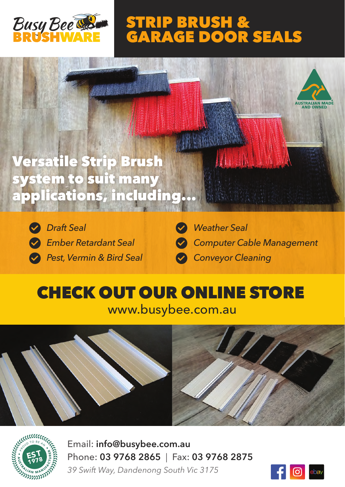

# **STRIP BRUSH & GARAGE DOOR SEALS**





*Draft Seal Ember Retardant Seal Pest, Vermin & Bird Seal*



# **CHECK OUT OUR ONLINE STORE**

www.busybee.com.au





Email: **info@busybee.com.au** Phone: **03 9768 2865** | Fax: **03 9768 2875** *39 Swift Way, Dandenong South Vic 3175*

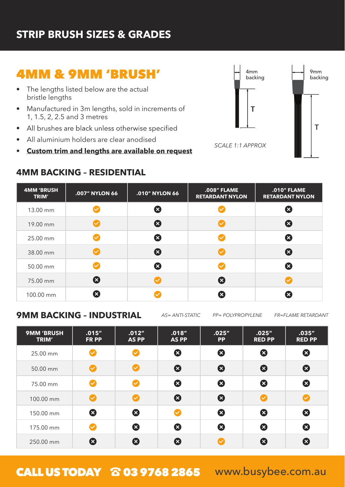#### **STRIP BRUSH SIZES & GRADES**

## **4MM & 9MM 'BRUSH'**

- The lengths listed below are the actual bristle lengths
- Manufactured in 3m lengths, sold in increments of 1, 1.5, 2, 2.5 and 3 metres
- All brushes are black unless otherwise specified  $\bullet$
- All aluminium holders are clear anodised
- **Custom trim and lengths are available on request**

#### **4MM BACKING – RESIDENTIAL**



| <b>4MM 'BRUSH</b><br>TRIM' | .007" NYLON 66            | .010" NYLON 66        | .008" FLAME<br><b>RETARDANT NYLON</b> | .010" FLAME<br><b>RETARDANT NYLON</b> |
|----------------------------|---------------------------|-----------------------|---------------------------------------|---------------------------------------|
| 13.00 mm                   |                           | Ø                     |                                       | $\boldsymbol{\Omega}$                 |
| 19.00 mm                   |                           | $\boldsymbol{\Omega}$ |                                       | $\boldsymbol{\Omega}$                 |
| 25.00 mm                   |                           | ظ                     |                                       | $\boldsymbol{\Omega}$                 |
| 38.00 mm                   |                           | $\boldsymbol{\Omega}$ |                                       | $\boldsymbol{\Omega}$                 |
| 50.00 mm                   |                           | 2                     |                                       | $\boldsymbol{\Omega}$                 |
| 75.00 mm                   | $\boldsymbol{\Omega}$     |                       | 2                                     |                                       |
| 100.00 mm                  | $\boldsymbol{\mathsf{x}}$ |                       | ☎                                     | ⊠                                     |

#### **9MM BACKING – INDUSTRIAL**

*AS= ANTI-STATIC PP= POLYPROPYLENE FR=FLAME RETARDANT*

| <b>9MM 'BRUSH</b><br>TRIM' | .015''<br><b>FR PP</b>     | .012''<br><b>AS PP</b>     | .018''<br><b>AS PP</b> | .025''<br><b>PP</b>   | .025''<br><b>RED PP</b> | .035''<br><b>RED PP</b> |
|----------------------------|----------------------------|----------------------------|------------------------|-----------------------|-------------------------|-------------------------|
| 25.00 mm                   | $\blacktriangledown$       | $\checkmark$               | 0                      | $\boldsymbol{\Omega}$ | 0                       | 0                       |
| 50.00 mm                   | Ø                          | $\boldsymbol{\mathcal{C}}$ | 3                      | $\boldsymbol{\Omega}$ | 2                       | $\boldsymbol{\Omega}$   |
| 75.00 mm                   | $\boldsymbol{\mathcal{S}}$ | Ø                          | ظ                      | $\boldsymbol{\Omega}$ | ظ                       | 0                       |
| 100.00 mm                  | Ø                          | $\boldsymbol{\varphi}$     | 0                      | $\boldsymbol{\Omega}$ |                         |                         |
| 150.00 mm                  | $\boldsymbol{\Omega}$      | 0                          | $\checkmark$           | $\boldsymbol{\Omega}$ | $\boldsymbol{\Omega}$   | 0                       |
| 175.00 mm                  | $\boldsymbol{\mathcal{C}}$ | Ø                          | Ø                      | $\boldsymbol{\Omega}$ | Ø                       | 0                       |
| 250.00 mm                  | $\boldsymbol{\Omega}$      | B                          | ⊠                      |                       | 8                       | 8                       |

CALL US TODAY & 03 9768 2865 www.busybee.com.au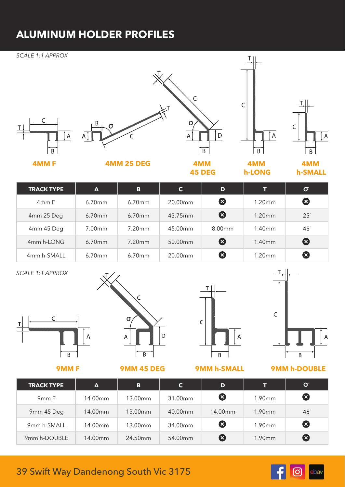### **ALUMINUM HOLDER PROFILES**

#### *SCALE 1:1 APPROX* T I  $\mathsf{C}$  $\overline{C}$  $\sigma$  $\mathsf{C}$  $\overline{A}$  $\mathsf{D}$  $\mathsf{A}% _{\mathsf{A}}^{\mathsf{A}}\!\left( \mathsf{A}% _{\mathsf{A}}^{\mathsf{A}}\right) ^{\mathsf{A}}\!\left( \mathsf{A}% _{\mathsf{A}}^{\mathsf{A}}\right) ^{\mathsf{A}}\!\left( \mathsf{A}% _{\mathsf{A}}^{\mathsf{A}}\right) ^{\mathsf{A}}\!\left( \mathsf{A}% _{\mathsf{A}}^{\mathsf{A}}\right) ^{\mathsf{A}}\!\left( \mathsf{A}% _{\mathsf{A}}^{\mathsf{A}}\right) ^{\mathsf{A}}\!\left( \mathsf{A}% _{\mathsf{A}}^{\mathsf{A}}\right) ^{\math$  $\overline{A}$  $\overline{B}$  $\overline{B}$ ÈΒ  $\overline{B}$ **4MM F 4MM 25 DEG 4MM 4MM 4MM 45 DEG h-LONG h-SMALL TRACK TYPE A B C D T**  $\sigma$ 3 4mm F 6.70mm 6.70mm 20.00mm 1.20mm 4mm 25 Deg 6.70mm 6.70mm 43.75mm 3 43.75mm  $25<sup>°</sup>$ 4mm 45 Deg | 7.00mm | 7.20mm | 45.00mm | 8.00mm | 1.40mm  $45<sup>°</sup>$ 4mm h-LONG 6.70mm 7.20mm 50.00mm 8 1.40mm 2 4mm h-SMALL 6.70mm 6.70mm 20.00mm 8 1.20mm 3

*SCALE 1:1 APPROX*







**9MM F 9MM 45 DEG 9MM h-SMALL**



**9MM h-DOUBLE** 

| <b>TRACK TYPE</b> | $\mathbf{A}$ | B       | C       | D       | т      | σ                     |
|-------------------|--------------|---------|---------|---------|--------|-----------------------|
| 9 <sub>mm</sub> F | 14.00mm      | 13.00mm | 31.00mm | Ø       | 1.90mm | Ø                     |
| 9mm 45 Deg        | 14.00mm      | 13.00mm | 40.00mm | 14.00mm | 1.90mm | $45^\circ$            |
| 9mm h-SMALL       | 14.00mm      | 13.00mm | 34.00mm | ☎       | 1.90mm | $\boldsymbol{\omega}$ |
| 9mm h-DOUBLE      | 14.00mm      | 24.50mm | 54.00mm | (X      | 1.90mm | $\boldsymbol{\Omega}$ |